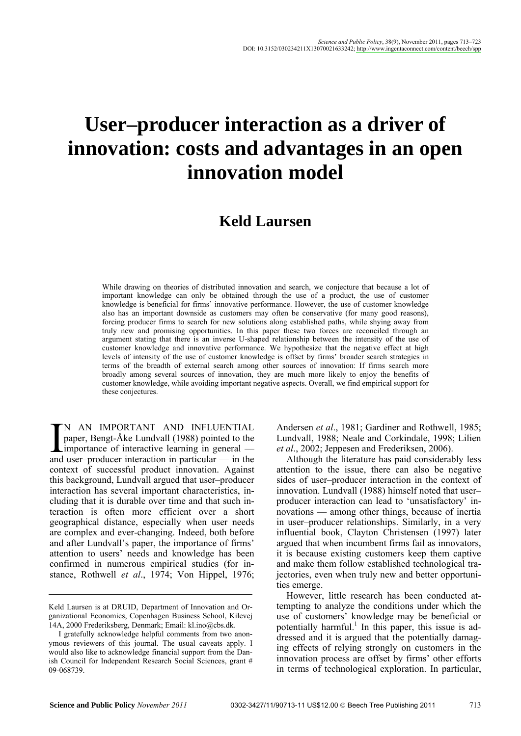# User-producer interaction as a driver of innovation: costs and advantages in an open innovation model

# **Keld Laursen**

While drawing on theories of distributed innovation and search, we conjecture that because a lot of important knowledge can only be obtained through the use of a product, the use of customer knowledge is beneficial for firms' innovative performance. However, the use of customer knowledge also has an important downside as customers may often be conservative (for many good reasons), forcing producer firms to search for new solutions along established paths, while shying away from truly new and promising opportunities. In this paper these two forces are reconciled through an argument stating that there is an inverse U-shaped relationship between the intensity of the use of customer knowledge and innovative performance. We hypothesize that the negative effect at high levels of intensity of the use of customer knowledge is offset by firms' broader search strategies in terms of the breadth of external search among other sources of innovation: If firms search more broadly among several sources of innovation, they are much more likely to enjoy the benefits of customer knowledge, while avoiding important negative aspects. Overall, we find empirical support for these conjectures.

N AN IMPORTANT AND INFLUENTIAL paper, Bengt-Åke Lundvall (1988) pointed to the  $\mathbf{\Box}$  importance of interactive learning in general  $\mathbf{\Box}$ and user-producer interaction in particular  $-$  in the context of successful product innovation. Against this background, Lundvall argued that user-producer interaction has several important characteristics, including that it is durable over time and that such interaction is often more efficient over a short geographical distance, especially when user needs are complex and ever-changing. Indeed, both before and after Lundvall's paper, the importance of firms' attention to users' needs and knowledge has been confirmed in numerous empirical studies (for instance, Rothwell et al.,  $1974$ ; Von Hippel, 1976;

Andersen et al., 1981; Gardiner and Rothwell, 1985; Lundvall, 1988: Neale and Corkindale, 1998: Lilien et al., 2002; Jeppesen and Frederiksen, 2006).

Although the literature has paid considerably less attention to the issue, there can also be negative sides of user-producer interaction in the context of innovation. Lundvall (1988) himself noted that userproducer interaction can lead to 'unsatisfactory' innovations — among other things, because of inertia in user-producer relationships. Similarly, in a very influential book, Clayton Christensen (1997) later argued that when incumbent firms fail as innovators. it is because existing customers keep them captive and make them follow established technological trajectories, even when truly new and better opportunities emerge.

However, little research has been conducted attempting to analyze the conditions under which the use of customers' knowledge may be beneficial or potentially harmful.<sup>1</sup> In this paper, this issue is addressed and it is argued that the potentially damaging effects of relying strongly on customers in the innovation process are offset by firms' other efforts in terms of technological exploration. In particular,

Keld Laursen is at DRUID, Department of Innovation and Organizational Economics, Copenhagen Business School, Kilevej 14A, 2000 Frederiksberg, Denmark; Email: kl.ino@cbs.dk.

I gratefully acknowledge helpful comments from two anonymous reviewers of this journal. The usual caveats apply. I would also like to acknowledge financial support from the Danish Council for Independent Research Social Sciences, grant # 09-068739.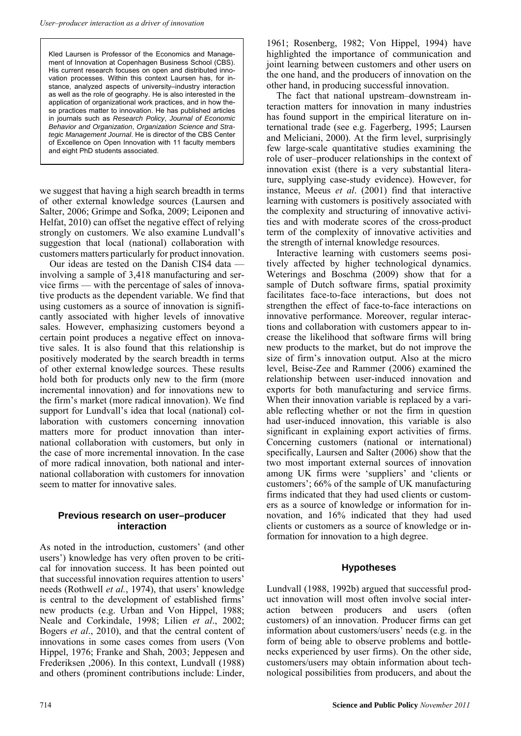Kled Laursen is Professor of the Economics and Management of Innovation at Copenhagen Business School (CBS). His current research focuses on open and distributed innovation processes. Within this context Laursen has, for instance, analyzed aspects of university-industry interaction as well as the role of geography. He is also interested in the application of organizational work practices, and in how these practices matter to innovation. He has published articles in journals such as Research Policy, Journal of Economic Behavior and Organization, Organization Science and Strategic Management Journal. He is director of the CBS Center of Excellence on Open Innovation with 11 faculty members and eight PhD students associated.

we suggest that having a high search breadth in terms of other external knowledge sources (Laursen and Salter, 2006; Grimpe and Sofka, 2009; Leiponen and Helfat, 2010) can offset the negative effect of relying strongly on customers. We also examine Lundvall's suggestion that local (national) collaboration with customers matters particularly for product innovation.

Our ideas are tested on the Danish CIS4 data involving a sample of 3,418 manufacturing and service firms — with the percentage of sales of innovative products as the dependent variable. We find that using customers as a source of innovation is significantly associated with higher levels of innovative sales. However, emphasizing customers beyond a certain point produces a negative effect on innovative sales. It is also found that this relationship is positively moderated by the search breadth in terms of other external knowledge sources. These results hold both for products only new to the firm (more incremental innovation) and for innovations new to the firm's market (more radical innovation). We find support for Lundvall's idea that local (national) collaboration with customers concerning innovation matters more for product innovation than international collaboration with customers, but only in the case of more incremental innovation. In the case of more radical innovation, both national and international collaboration with customers for innovation seem to matter for innovative sales

# Previous research on user-producer interaction

As noted in the introduction, customers' (and other users') knowledge has very often proven to be critical for innovation success. It has been pointed out that successful innovation requires attention to users' needs (Rothwell et al., 1974), that users' knowledge is central to the development of established firms' new products (e.g. Urban and Von Hippel, 1988; Neale and Corkindale, 1998; Lilien et al., 2002; Bogers et al., 2010), and that the central content of innovations in some cases comes from users (Von Hippel, 1976; Franke and Shah, 2003; Jeppesen and Frederiksen , 2006). In this context, Lundvall (1988) and others (prominent contributions include: Linder,

1961; Rosenberg, 1982; Von Hippel, 1994) have highlighted the importance of communication and joint learning between customers and other users on the one hand, and the producers of innovation on the other hand, in producing successful innovation.

The fact that national upstream-downstream interaction matters for innovation in many industries has found support in the empirical literature on international trade (see e.g. Fagerberg, 1995; Laursen and Meliciani, 2000). At the firm level, surprisingly few large-scale quantitative studies examining the role of user-producer relationships in the context of innovation exist (there is a very substantial literature, supplying case-study evidence). However, for instance, Meeus et al. (2001) find that interactive learning with customers is positively associated with the complexity and structuring of innovative activities and with moderate scores of the cross-product term of the complexity of innovative activities and the strength of internal knowledge resources.

Interactive learning with customers seems positively affected by higher technological dynamics. Weterings and Boschma (2009) show that for a sample of Dutch software firms, spatial proximity facilitates face-to-face interactions, but does not strengthen the effect of face-to-face interactions on innovative performance. Moreover, regular interactions and collaboration with customers appear to increase the likelihood that software firms will bring new products to the market, but do not improve the size of firm's innovation output. Also at the micro level, Beise-Zee and Rammer (2006) examined the relationship between user-induced innovation and exports for both manufacturing and service firms. When their innovation variable is replaced by a variable reflecting whether or not the firm in question had user-induced innovation, this variable is also significant in explaining export activities of firms. Concerning customers (national or international) specifically, Laursen and Salter (2006) show that the two most important external sources of innovation among UK firms were 'suppliers' and 'clients or customers'; 66% of the sample of UK manufacturing firms indicated that they had used clients or customers as a source of knowledge or information for innovation, and 16% indicated that they had used clients or customers as a source of knowledge or information for innovation to a high degree.

# **Hypotheses**

Lundvall (1988, 1992b) argued that successful product innovation will most often involve social interaction between producers and users (often customers) of an innovation. Producer firms can get information about customers/users' needs (e.g. in the form of being able to observe problems and bottlenecks experienced by user firms). On the other side, customers/users may obtain information about technological possibilities from producers, and about the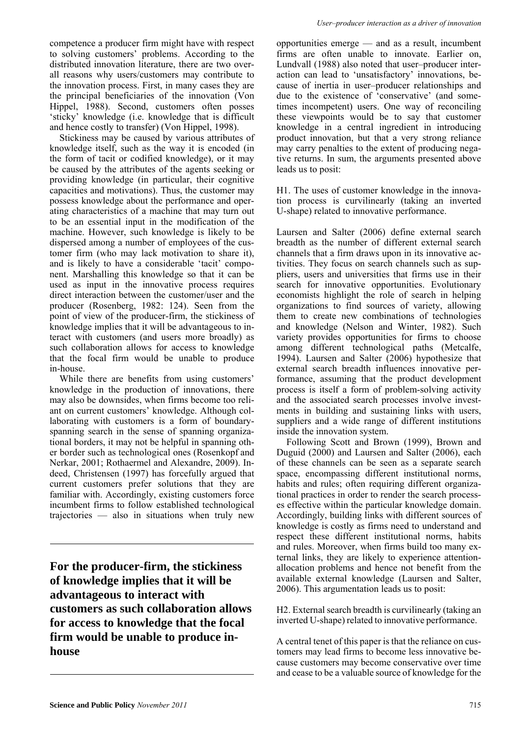competence a producer firm might have with respect to solving customers' problems. According to the distributed innovation literature, there are two overall reasons why users/customers may contribute to the innovation process. First, in many cases they are the principal beneficiaries of the innovation (Von Hippel, 1988). Second, customers often posses 'sticky' knowledge (i.e. knowledge that is difficult and hence costly to transfer) (Von Hippel, 1998).

Stickiness may be caused by various attributes of knowledge itself, such as the way it is encoded (in the form of tacit or codified knowledge), or it may be caused by the attributes of the agents seeking or providing knowledge (in particular, their cognitive capacities and motivations). Thus, the customer may possess knowledge about the performance and operating characteristics of a machine that may turn out to be an essential input in the modification of the machine. However, such knowledge is likely to be dispersed among a number of employees of the customer firm (who may lack motivation to share it). and is likely to have a considerable 'tacit' component. Marshalling this knowledge so that it can be used as input in the innovative process requires direct interaction between the customer/user and the producer (Rosenberg, 1982; 124). Seen from the point of view of the producer-firm, the stickiness of knowledge implies that it will be advantageous to interact with customers (and users more broadly) as such collaboration allows for access to knowledge that the focal firm would be unable to produce in-house.

While there are benefits from using customers' knowledge in the production of innovations, there may also be downsides, when firms become too reliant on current customers' knowledge. Although collaborating with customers is a form of boundaryspanning search in the sense of spanning organizational borders, it may not be helpful in spanning other border such as technological ones (Rosenkopf and Nerkar, 2001; Rothaermel and Alexandre, 2009). Indeed, Christensen (1997) has forcefully argued that current customers prefer solutions that they are familiar with. Accordingly, existing customers force incumbent firms to follow established technological trajectories  $-$  also in situations when truly new

For the producer-firm, the stickiness of knowledge implies that it will be advantageous to interact with customers as such collaboration allows for access to knowledge that the focal firm would be unable to produce inhouse

opportunities emerge  $-$  and as a result, incumbent firms are often unable to innovate. Earlier on, Lundvall (1988) also noted that user-producer interaction can lead to 'unsatisfactory' innovations, because of inertia in user-producer relationships and due to the existence of 'conservative' (and sometimes incompetent) users. One way of reconciling these viewpoints would be to say that customer knowledge in a central ingredient in introducing product innovation, but that a very strong reliance may carry penalties to the extent of producing negative returns. In sum, the arguments presented above leads us to posit:

H1. The uses of customer knowledge in the innovation process is curvilinearly (taking an inverted U-shape) related to innovative performance.

Laursen and Salter (2006) define external search breadth as the number of different external search channels that a firm draws upon in its innovative activities. They focus on search channels such as suppliers, users and universities that firms use in their search for innovative opportunities. Evolutionary economists highlight the role of search in helping organizations to find sources of variety, allowing them to create new combinations of technologies and knowledge (Nelson and Winter, 1982). Such variety provides opportunities for firms to choose among different technological paths (Metcalfe, 1994). Laursen and Salter (2006) hypothesize that external search breadth influences innovative performance, assuming that the product development process is itself a form of problem-solving activity and the associated search processes involve investments in building and sustaining links with users, suppliers and a wide range of different institutions inside the innovation system.

Following Scott and Brown (1999), Brown and Duguid (2000) and Laursen and Salter (2006), each of these channels can be seen as a separate search space, encompassing different institutional norms, habits and rules; often requiring different organizational practices in order to render the search processes effective within the particular knowledge domain. Accordingly, building links with different sources of knowledge is costly as firms need to understand and respect these different institutional norms, habits and rules. Moreover, when firms build too many external links, they are likely to experience attentionallocation problems and hence not benefit from the available external knowledge (Laursen and Salter, 2006). This argumentation leads us to posit:

H<sub>2</sub>. External search breadth is curvilinearly (taking an inverted U-shape) related to innovative performance.

A central tenet of this paper is that the reliance on customers may lead firms to become less innovative because customers may become conservative over time and cease to be a valuable source of knowledge for the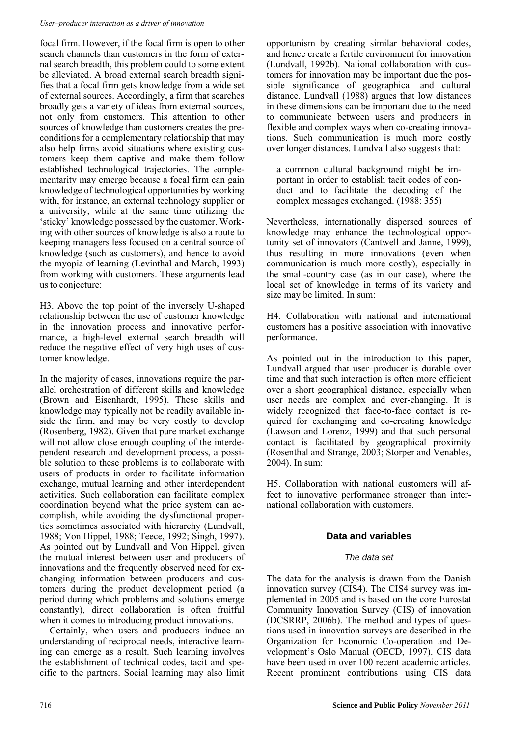# User-producer interaction as a driver of innovation

focal firm. However, if the focal firm is open to other search channels than customers in the form of external search breadth, this problem could to some extent be alleviated. A broad external search breadth signifies that a focal firm gets knowledge from a wide set of external sources. Accordingly, a firm that searches broadly gets a variety of ideas from external sources. not only from customers. This attention to other sources of knowledge than customers creates the preconditions for a complementary relationship that may also help firms avoid situations where existing customers keep them captive and make them follow established technological trajectories. The complementarity may emerge because a focal firm can gain knowledge of technological opportunities by working with, for instance, an external technology supplier or a university, while at the same time utilizing the 'sticky' knowledge possessed by the customer. Working with other sources of knowledge is also a route to keeping managers less focused on a central source of knowledge (such as customers), and hence to avoid the myopia of learning (Levinthal and March, 1993) from working with customers. These arguments lead us to conjecture:

H3. Above the top point of the inversely U-shaped relationship between the use of customer knowledge in the innovation process and innovative performance, a high-level external search breadth will reduce the negative effect of very high uses of customer knowledge.

In the majority of cases, innovations require the parallel orchestration of different skills and knowledge (Brown and Eisenhardt, 1995). These skills and knowledge may typically not be readily available inside the firm, and may be very costly to develop (Rosenberg, 1982). Given that pure market exchange will not allow close enough coupling of the interdependent research and development process, a possible solution to these problems is to collaborate with users of products in order to facilitate information exchange, mutual learning and other interdependent activities. Such collaboration can facilitate complex coordination beyond what the price system can accomplish, while avoiding the dysfunctional properties sometimes associated with hierarchy (Lundvall, 1988; Von Hippel, 1988; Teece, 1992; Singh, 1997). As pointed out by Lundvall and Von Hippel, given the mutual interest between user and producers of innovations and the frequently observed need for exchanging information between producers and customers during the product development period (a period during which problems and solutions emerge constantly), direct collaboration is often fruitful when it comes to introducing product innovations.

Certainly, when users and producers induce an understanding of reciprocal needs, interactive learning can emerge as a result. Such learning involves the establishment of technical codes, tacit and specific to the partners. Social learning may also limit opportunism by creating similar behavioral codes, and hence create a fertile environment for innovation (Lundvall, 1992b). National collaboration with customers for innovation may be important due the possible significance of geographical and cultural distance. Lundvall (1988) argues that low distances in these dimensions can be important due to the need to communicate between users and producers in flexible and complex ways when co-creating innovations. Such communication is much more costly over longer distances. Lundvall also suggests that:

a common cultural background might be important in order to establish tacit codes of conduct and to facilitate the decoding of the complex messages exchanged. (1988: 355)

Nevertheless, internationally dispersed sources of knowledge may enhance the technological opportunity set of innovators (Cantwell and Janne, 1999), thus resulting in more innovations (even when communication is much more costly), especially in the small-country case (as in our case), where the local set of knowledge in terms of its variety and size may be limited. In sum:

H4. Collaboration with national and international customers has a positive association with innovative performance.

As pointed out in the introduction to this paper, Lundvall argued that user-producer is durable over time and that such interaction is often more efficient over a short geographical distance, especially when user needs are complex and ever-changing. It is widely recognized that face-to-face contact is required for exchanging and co-creating knowledge (Lawson and Lorenz, 1999) and that such personal contact is facilitated by geographical proximity (Rosenthal and Strange, 2003; Storper and Venables, 2004). In sum:

H5. Collaboration with national customers will affect to innovative performance stronger than international collaboration with customers.

# Data and variables

# The data set

The data for the analysis is drawn from the Danish innovation survey (CIS4). The CIS4 survey was implemented in 2005 and is based on the core Eurostat Community Innovation Survey (CIS) of innovation (DCSRRP, 2006b). The method and types of questions used in innovation surveys are described in the Organization for Economic Co-operation and Development's Oslo Manual (OECD, 1997). CIS data have been used in over 100 recent academic articles. Recent prominent contributions using CIS data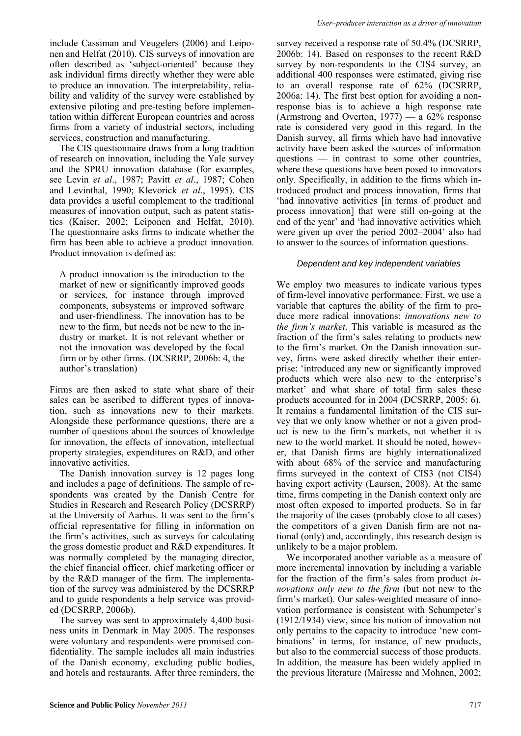include Cassiman and Veugelers (2006) and Leiponen and Helfat (2010). CIS surveys of innovation are often described as 'subject-oriented' because they ask individual firms directly whether they were able to produce an innovation. The interpretability, reliability and validity of the survey were established by extensive piloting and pre-testing before implementation within different European countries and across firms from a variety of industrial sectors, including services, construction and manufacturing.

The CIS questionnaire draws from a long tradition of research on innovation, including the Yale survey and the SPRU innovation database (for examples, see Levin et al., 1987; Pavitt et al., 1987; Cohen and Levinthal, 1990; Klevorick et al., 1995). CIS data provides a useful complement to the traditional measures of innovation output, such as patent statistics (Kaiser, 2002; Leiponen and Helfat, 2010). The questionnaire asks firms to indicate whether the firm has been able to achieve a product innovation. Product innovation is defined as:

A product innovation is the introduction to the market of new or significantly improved goods or services, for instance through improved components, subsystems or improved software and user-friendliness. The innovation has to be new to the firm, but needs not be new to the industry or market. It is not relevant whether or not the innovation was developed by the focal firm or by other firms. (DCSRRP, 2006b: 4, the author's translation)

Firms are then asked to state what share of their sales can be ascribed to different types of innovation, such as innovations new to their markets. Alongside these performance questions, there are a number of questions about the sources of knowledge for innovation, the effects of innovation, intellectual property strategies, expenditures on R&D, and other innovative activities.

The Danish innovation survey is 12 pages long and includes a page of definitions. The sample of respondents was created by the Danish Centre for Studies in Research and Research Policy (DCSRRP) at the University of Aarhus. It was sent to the firm's official representative for filling in information on the firm's activities, such as surveys for calculating the gross domestic product and R&D expenditures. It was normally completed by the managing director. the chief financial officer, chief marketing officer or by the R&D manager of the firm. The implementation of the survey was administered by the DCSRRP and to guide respondents a help service was provided (DCSRRP, 2006b).

The survey was sent to approximately 4,400 business units in Denmark in May 2005. The responses were voluntary and respondents were promised confidentiality. The sample includes all main industries of the Danish economy, excluding public bodies, and hotels and restaurants. After three reminders, the survey received a response rate of 50.4% (DCSRRP, 2006b: 14). Based on responses to the recent R&D survey by non-respondents to the CIS4 survey, an additional 400 responses were estimated, giving rise to an overall response rate of 62% (DCSRRP, 2006a: 14). The first best option for avoiding a nonresponse bias is to achieve a high response rate (Armstrong and Overton, 1977) — a  $62\%$  response rate is considered very good in this regard. In the Danish survey, all firms which have had innovative activity have been asked the sources of information  $\alpha$  questions  $\frac{1}{\alpha}$  in contrast to some other countries. where these questions have been posed to innovators only. Specifically, in addition to the firms which introduced product and process innovation, firms that 'had innovative activities [in terms of product and process innovation] that were still on-going at the end of the year' and 'had innovative activities which were given up over the period 2002-2004' also had to answer to the sources of information questions.

# Dependent and key independent variables

We employ two measures to indicate various types of firm-level innovative performance. First, we use a variable that captures the ability of the firm to produce more radical innovations: *innovations new to the firm's market*. This variable is measured as the fraction of the firm's sales relating to products new to the firm's market. On the Danish innovation survey, firms were asked directly whether their enterprise: 'introduced any new or significantly improved products which were also new to the enterprise's market' and what share of total firm sales these products accounted for in 2004 (DCSRRP, 2005: 6). It remains a fundamental limitation of the CIS survey that we only know whether or not a given product is new to the firm's markets, not whether it is new to the world market. It should be noted, however, that Danish firms are highly internationalized with about 68% of the service and manufacturing firms surveyed in the context of CIS3 (not CIS4) having export activity (Laursen, 2008). At the same time, firms competing in the Danish context only are most often exposed to imported products. So in far the majority of the cases (probably close to all cases) the competitors of a given Danish firm are not national (only) and, accordingly, this research design is unlikely to be a major problem.

We incorporated another variable as a measure of more incremental innovation by including a variable for the fraction of the firm's sales from product innovations only new to the firm (but not new to the firm's market). Our sales-weighted measure of innovation performance is consistent with Schumpeter's  $(1912/\overline{1}934)$  view, since his notion of innovation not only pertains to the capacity to introduce 'new combinations' in terms, for instance, of new products. but also to the commercial success of those products. In addition, the measure has been widely applied in the previous literature (Mairesse and Mohnen, 2002;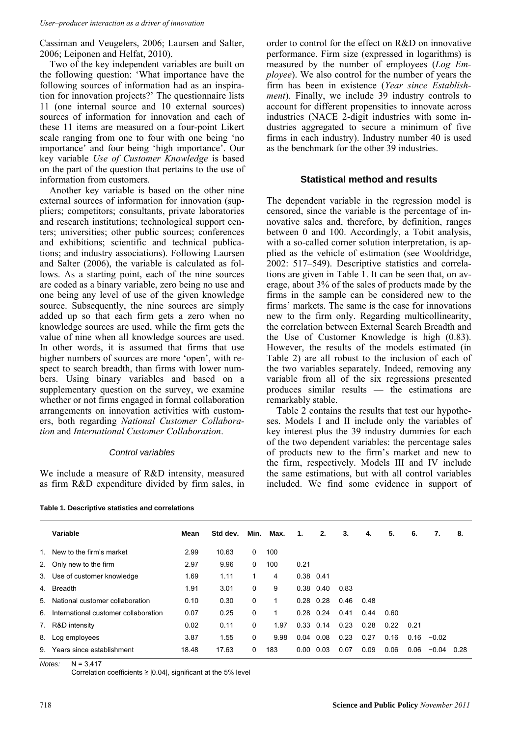Cassiman and Veugelers, 2006; Laursen and Salter, 2006; Leiponen and Helfat, 2010).

Two of the key independent variables are built on the following question: 'What importance have the following sources of information had as an inspiration for innovation projects?' The questionnaire lists 11 (one internal source and 10 external sources) sources of information for innovation and each of these 11 items are measured on a four-point Likert scale ranging from one to four with one being 'no importance' and four being 'high importance'. Our key variable Use of Customer Knowledge is based on the part of the question that pertains to the use of information from customers.

Another key variable is based on the other nine external sources of information for innovation (suppliers; competitors; consultants, private laboratories and research institutions; technological support centers; universities; other public sources; conferences and exhibitions; scientific and technical publications; and industry associations). Following Laursen and Salter (2006), the variable is calculated as follows. As a starting point, each of the nine sources are coded as a binary variable, zero being no use and one being any level of use of the given knowledge source. Subsequently, the nine sources are simply added up so that each firm gets a zero when no knowledge sources are used, while the firm gets the value of nine when all knowledge sources are used. In other words, it is assumed that firms that use higher numbers of sources are more 'open', with respect to search breadth, than firms with lower numbers. Using binary variables and based on a supplementary question on the survey, we examine whether or not firms engaged in formal collaboration arrangements on innovation activities with customers, both regarding National Customer Collaboration and International Customer Collaboration.

#### Control variables

We include a measure of R&D intensity, measured as firm R&D expenditure divided by firm sales, in order to control for the effect on R&D on innovative performance. Firm size (expressed in logarithms) is measured by the number of employees (Log Em*ployee*). We also control for the number of years the firm has been in existence (Year since Establish*ment*). Finally, we include 39 industry controls to account for different propensities to innovate across industries (NACE 2-digit industries with some industries aggregated to secure a minimum of five firms in each industry). Industry number 40 is used as the benchmark for the other 39 industries.

## **Statistical method and results**

The dependent variable in the regression model is censored, since the variable is the percentage of innovative sales and, therefore, by definition, ranges between 0 and 100. Accordingly, a Tobit analysis, with a so-called corner solution interpretation, is applied as the vehicle of estimation (see Wooldridge, 2002: 517–549). Descriptive statistics and correlations are given in Table 1. It can be seen that, on average, about 3% of the sales of products made by the firms in the sample can be considered new to the firms' markets. The same is the case for innovations new to the firm only. Regarding multicollinearity, the correlation between External Search Breadth and the Use of Customer Knowledge is high (0.83). However, the results of the models estimated (in Table 2) are all robust to the inclusion of each of the two variables separately. Indeed, removing any variable from all of the six regressions presented produces similar results — the estimations are remarkably stable.

Table 2 contains the results that test our hypotheses. Models I and II include only the variables of key interest plus the 39 industry dummies for each of the two dependent variables: the percentage sales of products new to the firm's market and new to the firm, respectively. Models III and IV include the same estimations, but with all control variables included. We find some evidence in support of

|   | Variable                                | Mean  | Std dev. | Min.         | Max. | 1.        | 2.                | 3.   | 4.   | 5.   | 6.   | 7.      | 8.   |
|---|-----------------------------------------|-------|----------|--------------|------|-----------|-------------------|------|------|------|------|---------|------|
| 1 | New to the firm's market                | 2.99  | 10.63    | 0            | 100  |           |                   |      |      |      |      |         |      |
|   | 2. Only new to the firm                 | 2.97  | 9.96     | 0            | 100  | 0.21      |                   |      |      |      |      |         |      |
|   | 3. Use of customer knowledge            | 1.69  | 1.11     |              | 4    | 0.38 0.41 |                   |      |      |      |      |         |      |
|   | 4. Breadth                              | 1.91  | 3.01     | $\Omega$     | 9    |           | 0.38 0.40         | 0.83 |      |      |      |         |      |
|   | 5 National customer collaboration       | 0.10  | 0.30     | $\Omega$     |      |           | $0.28$ 0.28       | 0.46 | 0.48 |      |      |         |      |
|   | 6. International customer collaboration | 0.07  | 0.25     | $\mathbf{0}$ | 1    |           | $0.28$ 0.24       | 0.41 | 0.44 | 0.60 |      |         |      |
|   | 7. R&D intensity                        | 0.02  | 0.11     | $\Omega$     | 1.97 |           | $0.33 \quad 0.14$ | 0.23 | 0.28 | 0.22 | 0.21 |         |      |
|   | 8. Log employees                        | 3.87  | 1.55     | 0            | 9.98 | 0.04      | 0.08              | 0.23 | 0.27 | 0.16 | 0.16 | $-0.02$ |      |
| 9 | Years since establishment               | 18.48 | 17.63    | 0            | 183  | 0.00      | 0.03              | 0.07 | 0.09 | 0.06 | 0.06 | $-0.04$ | 0.28 |

#### Table 1. Descriptive statistics and correlations

 $N = 3,417$  $M$ ntes

Correlation coefficients ≥ |0.04|, significant at the 5% level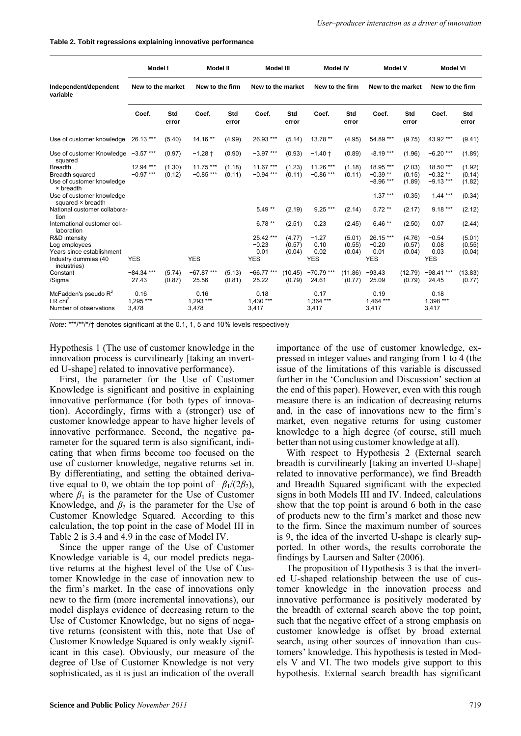#### Table 2. Tobit regressions explaining innovative performance

|                                                                                                    | Model I<br>New to the market |                  | <b>Model II</b><br>New to the firm |                  | <b>Model III</b><br>New to the market     |                            | <b>Model IV</b>                       |                            | <b>Model V</b>                            |                            | <b>Model VI</b>                       |                            |
|----------------------------------------------------------------------------------------------------|------------------------------|------------------|------------------------------------|------------------|-------------------------------------------|----------------------------|---------------------------------------|----------------------------|-------------------------------------------|----------------------------|---------------------------------------|----------------------------|
| Independent/dependent<br>variable                                                                  |                              |                  |                                    |                  |                                           |                            | New to the firm                       |                            | New to the market                         |                            | New to the firm                       |                            |
|                                                                                                    | Coef.                        | Std<br>error     | Coef.                              | Std<br>error     | Coef.                                     | Std<br>error               | Coef.                                 | Std<br>error               | Coef.                                     | Std<br>error               | Coef.                                 | Std<br>error               |
| Use of customer knowledge                                                                          | 26.13 ***                    | (5.40)           | 14.16 **                           | (4.99)           | 26.93 ***                                 | (5.14)                     | 13.78 **                              | (4.95)                     | 54.89 ***                                 | (9.75)                     | 43.92 ***                             | (9.41)                     |
| Use of customer Knowledge<br>squared                                                               | $-3.57$ ***                  | (0.97)           | $-1.28 +$                          | (0.90)           | $-3.97***$                                | (0.93)                     | $-1.40 +$                             | (0.89)                     | $-8.19***$                                | (1.96)                     | $-6.20***$                            | (1.89)                     |
| <b>Breadth</b><br>Breadth squared<br>Use of customer knowledge<br>× breadth                        | 12.94 ***<br>$-0.97***$      | (1.30)<br>(0.12) | 11.75 ***<br>$-0.85***$            | (1.18)<br>(0.11) | 11.67 ***<br>$-0.94$ ***                  | (1.23)<br>(0.11)           | 11.26 ***<br>$-0.86***$               | (1.18)<br>(0.11)           | 18.95 ***<br>$-0.39**$<br>$-8.96$ ***     | (2.03)<br>(0.15)<br>(1.89) | 18.50***<br>$-0.32**$<br>$-9.13***$   | (1.92)<br>(0.14)<br>(1.82) |
| Use of customer knowledge<br>squared × breadth                                                     |                              |                  |                                    |                  |                                           |                            |                                       |                            | $1.37***$                                 | (0.35)                     | $1.44***$                             | (0.34)                     |
| National customer collabora-<br>tion                                                               |                              |                  |                                    |                  | $5.49**$                                  | (2.19)                     | $9.25***$                             | (2.14)                     | $5.72**$                                  | (2.17)                     | $9.18***$                             | (2.12)                     |
| International customer col-<br>laboration                                                          |                              |                  |                                    |                  | $6.78**$                                  | (2.51)                     | 0.23                                  | (2.45)                     | $6.46**$                                  | (2.50)                     | 0.07                                  | (2.44)                     |
| R&D intensitv<br>Log employees<br>Years since establishment<br>Industry dummies (40<br>industries) | <b>YES</b>                   |                  | <b>YES</b>                         |                  | 25.42***<br>$-0.23$<br>0.01<br><b>YES</b> | (4.77)<br>(0.57)<br>(0.04) | $-1.27$<br>0.10<br>0.02<br><b>YES</b> | (5.01)<br>(0.55)<br>(0.04) | 26.15***<br>$-0.20$<br>0.01<br><b>YES</b> | (4.76)<br>(0.57)<br>(0.04) | $-0.54$<br>0.08<br>0.03<br><b>YES</b> | (5.01)<br>(0.55)<br>(0.04) |
| Constant<br>/Sigma                                                                                 | $-84.34$ ***<br>27.43        | (5.74)<br>(0.87) | $-67.87***$<br>25.56               | (5.13)<br>(0.81) | $-66.77$ ***<br>25.22                     | (10.45)<br>(0.79)          | $-70.79$ ***<br>24.61                 | (11.86)<br>(0.77)          | $-93.43$<br>25.09                         | (12.79)<br>(0.79)          | $-98.41***$<br>24.45                  | (13.83)<br>(0.77)          |
| McFadden's pseudo $R^2$<br>$LR$ chi <sup>2</sup><br>Number of observations                         | 0.16<br>1,295 ***<br>3,478   |                  | 0.16<br>$1.293***$<br>3,478        |                  | 0.18<br>$1.430***$<br>3,417               |                            | 0.17<br>$1.364***$<br>3,417           |                            | 0.19<br>$1.464***$<br>3,417               |                            | 0.18<br>1,398 ***<br>3,417            |                            |

Note: \*\*\*/\*\*/\*/† denotes significant at the 0.1, 1, 5 and 10% levels respectively

Hypothesis 1 (The use of customer knowledge in the innovation process is curvilinearly [taking an inverted U-shape] related to innovative performance).

First, the parameter for the Use of Customer Knowledge is significant and positive in explaining innovative performance (for both types of innovation). Accordingly, firms with a (stronger) use of customer knowledge appear to have higher levels of innovative performance. Second, the negative parameter for the squared term is also significant, indicating that when firms become too focused on the use of customer knowledge, negative returns set in. By differentiating, and setting the obtained derivative equal to 0, we obtain the top point of  $-\beta_1/(2\beta_2)$ , where  $\beta_1$  is the parameter for the Use of Customer Knowledge, and  $\beta_2$  is the parameter for the Use of Customer Knowledge Squared. According to this calculation, the top point in the case of Model III in Table 2 is 3.4 and 4.9 in the case of Model IV.

Since the upper range of the Use of Customer Knowledge variable is 4, our model predicts negative returns at the highest level of the Use of Customer Knowledge in the case of innovation new to the firm's market. In the case of innovations only new to the firm (more incremental innovations), our model displays evidence of decreasing return to the Use of Customer Knowledge, but no signs of negative returns (consistent with this, note that Use of Customer Knowledge Squared is only weakly significant in this case). Obviously, our measure of the degree of Use of Customer Knowledge is not very sophisticated, as it is just an indication of the overall

importance of the use of customer knowledge, expressed in integer values and ranging from 1 to 4 (the issue of the limitations of this variable is discussed further in the 'Conclusion and Discussion' section at the end of this paper). However, even with this rough measure there is an indication of decreasing returns and, in the case of innovations new to the firm's market, even negative returns for using customer knowledge to a high degree (of course, still much better than not using customer knowledge at all).

With respect to Hypothesis 2 (External search) breadth is curvilinearly [taking an inverted U-shape] related to innovative performance), we find Breadth and Breadth Squared significant with the expected signs in both Models III and IV. Indeed, calculations show that the top point is around 6 both in the case of products new to the firm's market and those new to the firm. Since the maximum number of sources is 9, the idea of the inverted U-shape is clearly supported. In other words, the results corroborate the findings by Laursen and Salter (2006).

The proposition of Hypothesis 3 is that the inverted U-shaped relationship between the use of customer knowledge in the innovation process and innovative performance is positively moderated by the breadth of external search above the top point, such that the negative effect of a strong emphasis on customer knowledge is offset by broad external search, using other sources of innovation than customers' knowledge. This hypothesis is tested in Models V and VI. The two models give support to this hypothesis. External search breadth has significant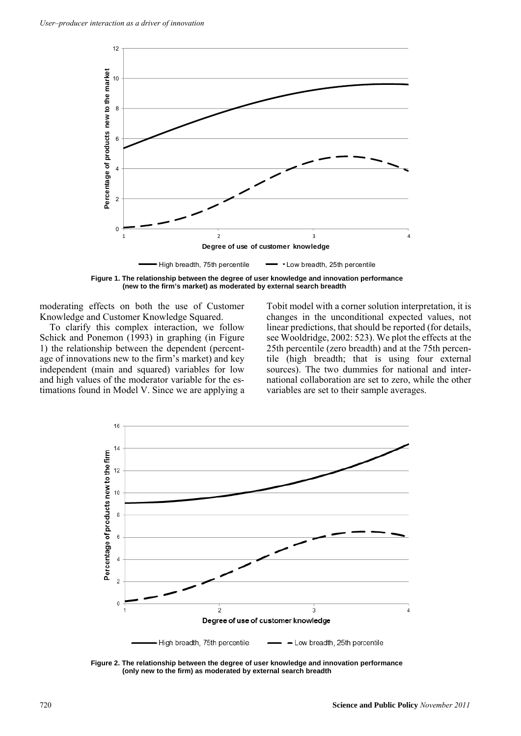

Figure 1. The relationship between the degree of user knowledge and innovation performance (new to the firm's market) as moderated by external search breadth

moderating effects on both the use of Customer Knowledge and Customer Knowledge Squared.

To clarify this complex interaction, we follow Schick and Ponemon (1993) in graphing (in Figure 1) the relationship between the dependent (percentage of innovations new to the firm's market) and key independent (main and squared) variables for low and high values of the moderator variable for the estimations found in Model V. Since we are applying a Tobit model with a corner solution interpretation, it is changes in the unconditional expected values, not linear predictions, that should be reported (for details, see Wooldridge, 2002: 523). We plot the effects at the 25th percentile (zero breadth) and at the 75th percentile (high breadth; that is using four external sources). The two dummies for national and international collaboration are set to zero, while the other variables are set to their sample averages.



Figure 2. The relationship between the degree of user knowledge and innovation performance (only new to the firm) as moderated by external search breadth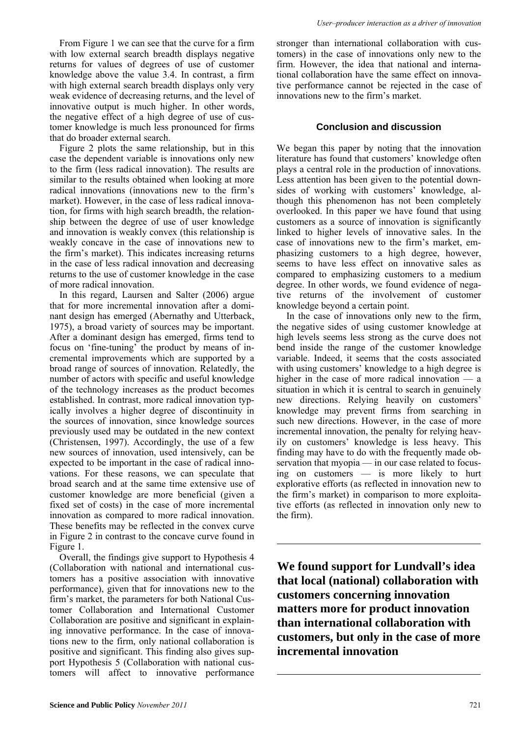From Figure 1 we can see that the curve for a firm with low external search breadth displays negative returns for values of degrees of use of customer knowledge above the value 3.4. In contrast, a firm with high external search breadth displays only very weak evidence of decreasing returns, and the level of innovative output is much higher. In other words, the negative effect of a high degree of use of customer knowledge is much less pronounced for firms that do broader external search.

Figure 2 plots the same relationship, but in this case the dependent variable is innovations only new to the firm (less radical innovation). The results are similar to the results obtained when looking at more radical innovations (innovations new to the firm's market). However, in the case of less radical innovation, for firms with high search breadth, the relationship between the degree of use of user knowledge and innovation is weakly convex (this relationship is weakly concave in the case of innovations new to the firm's market). This indicates increasing returns in the case of less radical innovation and decreasing returns to the use of customer knowledge in the case of more radical innovation.

In this regard, Laursen and Salter (2006) argue that for more incremental innovation after a dominant design has emerged (Abernathy and Utterback, 1975), a broad variety of sources may be important. After a dominant design has emerged, firms tend to focus on 'fine-tuning' the product by means of incremental improvements which are supported by a broad range of sources of innovation. Relatedly, the number of actors with specific and useful knowledge of the technology increases as the product becomes established. In contrast, more radical innovation typically involves a higher degree of discontinuity in the sources of innovation, since knowledge sources previously used may be outdated in the new context (Christensen, 1997). Accordingly, the use of a few new sources of innovation, used intensively, can be expected to be important in the case of radical innovations. For these reasons, we can speculate that broad search and at the same time extensive use of customer knowledge are more beneficial (given a fixed set of costs) in the case of more incremental innovation as compared to more radical innovation. These benefits may be reflected in the convex curve in Figure 2 in contrast to the concave curve found in Figure 1.

Overall, the findings give support to Hypothesis 4 (Collaboration with national and international customers has a positive association with innovative performance), given that for innovations new to the firm's market, the parameters for both National Customer Collaboration and International Customer Collaboration are positive and significant in explaining innovative performance. In the case of innovations new to the firm only national collaboration is positive and significant. This finding also gives support Hypothesis 5 (Collaboration with national customers will affect to innovative performance

stronger than international collaboration with customers) in the case of innovations only new to the firm. However, the idea that national and international collaboration have the same effect on innovative performance cannot be rejected in the case of innovations new to the firm's market.

# **Conclusion and discussion**

We began this paper by noting that the innovation literature has found that customers' knowledge often plays a central role in the production of innovations. Less attention has been given to the potential downsides of working with customers' knowledge, although this phenomenon has not been completely overlooked. In this paper we have found that using customers as a source of innovation is significantly linked to higher levels of innovative sales. In the case of innovations new to the firm's market, emphasizing customers to a high degree, however, seems to have less effect on innovative sales as compared to emphasizing customers to a medium degree. In other words, we found evidence of negative returns of the involvement of customer knowledge beyond a certain point.

In the case of innovations only new to the firm, the negative sides of using customer knowledge at high levels seems less strong as the curve does not bend inside the range of the customer knowledge variable. Indeed, it seems that the costs associated with using customers' knowledge to a high degree is higher in the case of more radical innovation  $-$  a situation in which it is central to search in genuinely new directions. Relying heavily on customers' knowledge may prevent firms from searching in such new directions. However, in the case of more incremental innovation, the penalty for relying heavily on customers' knowledge is less heavy. This finding may have to do with the frequently made observation that myopia — in our case related to focusing on customers — is more likely to hurt explorative efforts (as reflected in innovation new to the firm's market) in comparison to more exploitative efforts (as reflected in innovation only new to the firm).

We found support for Lundvall's idea that local (national) collaboration with customers concerning innovation matters more for product innovation than international collaboration with customers, but only in the case of more incremental innovation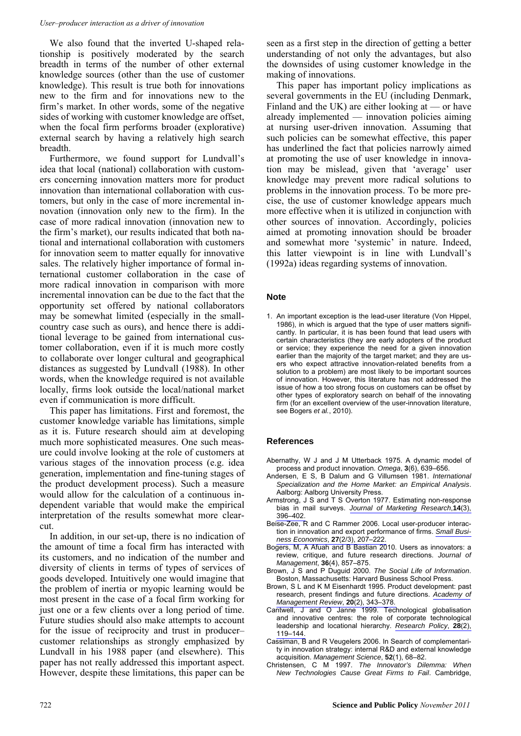#### User-producer interaction as a driver of innovation

We also found that the inverted U-shaped relationship is positively moderated by the search breadth in terms of the number of other external knowledge sources (other than the use of customer knowledge). This result is true both for innovations new to the firm and for innovations new to the firm's market. In other words, some of the negative sides of working with customer knowledge are offset, when the focal firm performs broader (explorative) external search by having a relatively high search breadth.

Furthermore, we found support for Lundvall's idea that local (national) collaboration with customers concerning innovation matters more for product innovation than international collaboration with customers, but only in the case of more incremental innovation (innovation only new to the firm). In the case of more radical innovation (innovation new to the firm's market), our results indicated that both national and international collaboration with customers for innovation seem to matter equally for innovative sales. The relatively higher importance of formal international customer collaboration in the case of more radical innovation in comparison with more incremental innovation can be due to the fact that the opportunity set offered by national collaborators may be somewhat limited (especially in the smallcountry case such as ours), and hence there is additional leverage to be gained from international customer collaboration, even if it is much more costly to collaborate over longer cultural and geographical distances as suggested by Lundvall (1988). In other words, when the knowledge required is not available locally, firms look outside the local/national market even if communication is more difficult.

This paper has limitations. First and foremost, the customer knowledge variable has limitations, simple as it is. Future research should aim at developing much more sophisticated measures. One such measure could involve looking at the role of customers at various stages of the innovation process (e.g. idea generation, implementation and fine-tuning stages of the product development process). Such a measure would allow for the calculation of a continuous independent variable that would make the empirical interpretation of the results somewhat more clearcut.

In addition, in our set-up, there is no indication of the amount of time a focal firm has interacted with its customers, and no indication of the number and diversity of clients in terms of types of services of goods developed. Intuitively one would imagine that the problem of inertia or myopic learning would be most present in the case of a focal firm working for just one or a few clients over a long period of time. Future studies should also make attempts to account for the issue of reciprocity and trust in producercustomer relationships as strongly emphasized by Lundvall in his 1988 paper (and elsewhere). This paper has not really addressed this important aspect. However, despite these limitations, this paper can be

seen as a first step in the direction of getting a better understanding of not only the advantages, but also the downsides of using customer knowledge in the making of innovations.

This paper has important policy implications as several governments in the EU (including Denmark, Finland and the UK) are either looking at — or have already implemented  $-$  innovation policies aiming at nursing user-driven innovation. Assuming that such policies can be somewhat effective, this paper has underlined the fact that policies narrowly aimed at promoting the use of user knowledge in innovation may be mislead, given that 'average' user knowledge may prevent more radical solutions to problems in the innovation process. To be more precise, the use of customer knowledge appears much more effective when it is utilized in conjunction with other sources of innovation. Accordingly, policies aimed at promoting innovation should be broader and somewhat more 'systemic' in nature. Indeed, this latter viewpoint is in line with Lundvall's (1992a) ideas regarding systems of innovation.

#### **Note**

1. An important exception is the lead-user literature (Von Hippel, 1986), in which is argued that the type of user matters significantly. In particular, it is has been found that lead users with certain characteristics (they are early adopters of the product or service; they experience the need for a given innovation earlier than the majority of the target market; and they are users who expect attractive innovation-related benefits from a solution to a problem) are most likely to be important sources of innovation. However, this literature has not addressed the issue of how a too strong focus on customers can be offset by other types of exploratory search on behalf of the innovating firm (for an excellent overview of the user-innovation literature, see Bogers et al., 2010).

### **References**

- Abernathy, W J and J M Utterback 1975. A dynamic model of process and product innovation. Omega, 3(6), 639-656.
- Andersen, E S, B Dalum and G Villumsen 1981. International Specialization and the Home Market: an Empirical Analysis. Aalborg: Aalborg University Press.
- Armstrong, J S and T S Overton 1977. Estimating non-response bias in mail surveys. Journal of Marketing Research, 14(3), 396-402
- Beise-Zee, R and C Rammer 2006. Local user-producer interaction in innovation and export performance of firms. Small Business Economics, 27(2/3), 207-222
- Bogers, M, A Afuah and B Bastian 2010. Users as innovators: a review, critique, and future research directions. Journal of Management, 36(4), 857-875.
- Brown, J S and P Duguid 2000. The Social Life of Information. Boston, Massachusetts: Harvard Business School Press.
- Brown, S L and K M Eisenhardt 1995. Product development: past research, present findings and future directions. Academy of Management Review, 20(2), 343-378.
- Cantwell, J and O Janne 1999. Technological globalisation and innovative centres: the role of corporate technological leadership and locational hierarchy. Research Policy, 28(2), 119-144
- Cassiman, B and R Veugelers 2006. In Search of complementarity in innovation strategy: internal R&D and external knowledge acquisition. Management Science, 52(1), 68-82.
- Christensen, C M 1997. The Innovator's Dilemma: When New Technologies Cause Great Firms to Fail. Cambridge,